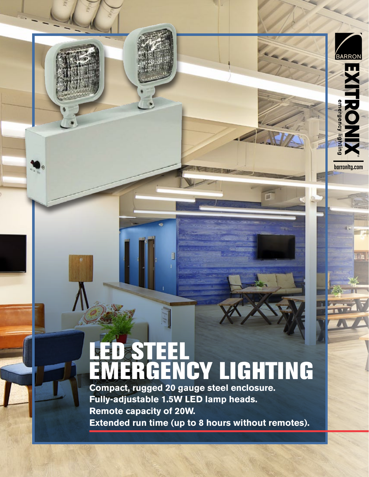# LED STEEL EMERGENCY LIGHTING

**BARRON** 

mergenc

**La** 

barronltg.com

lila

**Compact, rugged 20 gauge steel enclosure. Fully-adjustable 1.5W LED lamp heads. Remote capacity of 20W. Extended run time (up to 8 hours without remotes).**